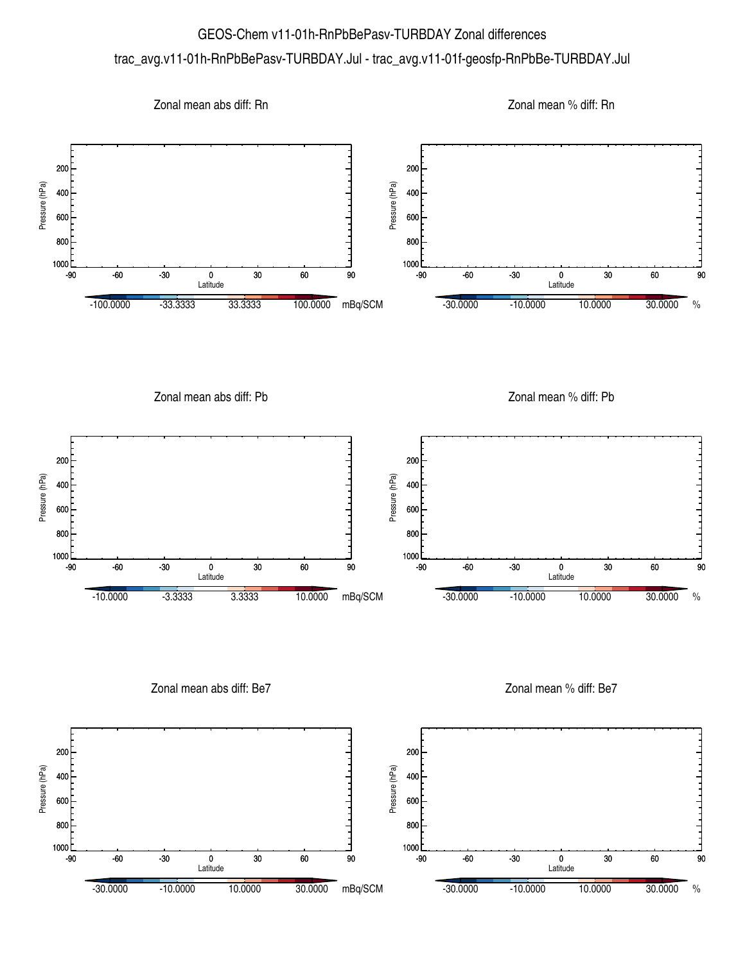## GEOS-Chem v11-01h-RnPbBePasv-TURBDAY Zonal differences trac\_avg.v11-01h-RnPbBePasv-TURBDAY.Jul - trac\_avg.v11-01f-geosfp-RnPbBe-TURBDAY.Jul